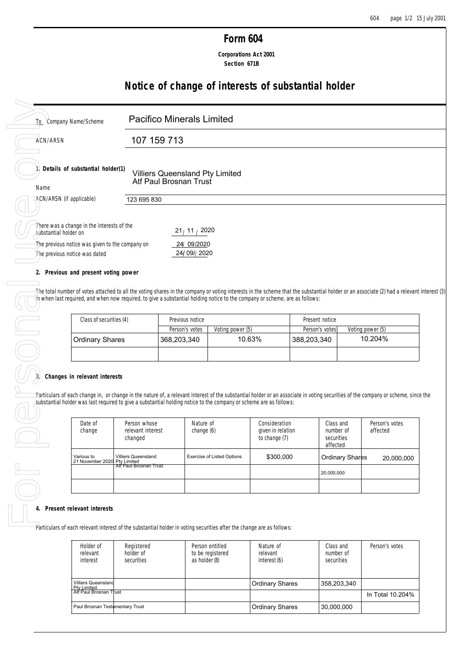## **Form 604**

 **Corporations Act 2001 Section 671B**

## **Notice of change of interests of substantial holder**

| To Company Name/Scheme                                                                                                                                                                                                                                                                                                                             | <b>Pacifico Minerals Limited</b>              |                                                           |                                   |                                    |                                  |                                           |                            |
|----------------------------------------------------------------------------------------------------------------------------------------------------------------------------------------------------------------------------------------------------------------------------------------------------------------------------------------------------|-----------------------------------------------|-----------------------------------------------------------|-----------------------------------|------------------------------------|----------------------------------|-------------------------------------------|----------------------------|
| <b>ACN/ARSN</b>                                                                                                                                                                                                                                                                                                                                    | 107 159 713                                   |                                                           |                                   |                                    |                                  |                                           |                            |
| 1. Details of substantial holder(1)<br>Name                                                                                                                                                                                                                                                                                                        |                                               | Villiers Queensland Pty Limited<br>Atf Paul Brosnan Trust |                                   |                                    |                                  |                                           |                            |
| ACN/ARSN (if applicable)                                                                                                                                                                                                                                                                                                                           | 123 695 830                                   |                                                           |                                   |                                    |                                  |                                           |                            |
| There was a change in the interests of the<br>substantial holder on                                                                                                                                                                                                                                                                                |                                               | 21/11/2020                                                |                                   |                                    |                                  |                                           |                            |
| The previous notice was given to the company on<br>The previous notice was dated                                                                                                                                                                                                                                                                   |                                               | 24/09/2020<br>24/09//2020                                 |                                   |                                    |                                  |                                           |                            |
| 2. Previous and present voting power                                                                                                                                                                                                                                                                                                               |                                               |                                                           |                                   |                                    |                                  |                                           |                            |
|                                                                                                                                                                                                                                                                                                                                                    |                                               |                                                           |                                   |                                    |                                  |                                           |                            |
| Class of securities (4)                                                                                                                                                                                                                                                                                                                            |                                               | Previous notice<br>Person's votes                         | Voting power (5)                  |                                    | Present notice<br>Person's votes |                                           | Voting power (5)           |
| The total number of votes attached to all the voting shares in the company or voting interests in the scheme that the substantial holder or an associate (2) had a relevant interest (3)<br>th when last required, and when now required, to give a substantial holding notice to the company or scheme, are as follows:<br><b>Ordinary Shares</b> |                                               | 368,203,340                                               |                                   | 10.63%                             | 388,203,340                      |                                           | 10.204%                    |
| Changes in relevant interests<br>Date of<br>change                                                                                                                                                                                                                                                                                                 | Person whose<br>relevant interest             | Nature of<br>change (6)                                   |                                   | Consideration<br>given in relation |                                  | Class and<br>number of                    | Person's votes<br>affected |
| Various to<br>21 November 2020                                                                                                                                                                                                                                                                                                                     | changed<br>Villiers Queensland<br>Pty Limited |                                                           | <b>Exercise of Listed Options</b> | to change (7)<br>\$300,000         |                                  | securities<br>affected<br>Ordinary Shares |                            |
| Particulars of each change in, or change in the nature of, a relevant interest of the substantial holder or an associate in voting securities of the company or scheme, since the<br>substantial holder was last required to give a substantial holding notice to the company or scheme are as follows:                                            | Att Paul Brosnan Trust                        |                                                           |                                   |                                    |                                  | 20,000,000                                | 20,000,000                 |

## **2. Previous and present voting power**

| Class of securities (4)      | Previous notice |                  | Present notice |                  |
|------------------------------|-----------------|------------------|----------------|------------------|
|                              | Person's votes  | Voting power (5) | Person's votes | Voting power (5) |
| <sup>≀</sup> Ordinary Shares | 368,203,340     | 10.63%           | 388,203,340    | 10.204%          |
|                              |                 |                  |                |                  |

# **3. Changes in relevant interests**

| u II. |                                            |                                              |                                   |                                                     |                                                  |                            |
|-------|--------------------------------------------|----------------------------------------------|-----------------------------------|-----------------------------------------------------|--------------------------------------------------|----------------------------|
|       | Date of<br>change                          | Person whose<br>relevant interest<br>changed | Nature of<br>change (6)           | Consideration<br>given in relation<br>to change (7) | Class and<br>number of<br>securities<br>affected | Person's votes<br>affected |
|       | Various to<br>21 November 2020 Pty Limited | <b>Villiers Queensland</b>                   | <b>Exercise of Listed Options</b> | \$300,000                                           | <b>Ordinary Shares</b>                           | 20,000,000                 |
|       |                                            | "Att Paul Brosnan Trust"                     |                                   |                                                     | 20,000,000                                       |                            |
|       |                                            |                                              |                                   |                                                     |                                                  |                            |
|       |                                            |                                              |                                   |                                                     |                                                  |                            |
|       | 4. Present relevant interests              |                                              |                                   |                                                     |                                                  |                            |

Particulars of each relevant interest of the substantial holder in voting securities after the change are as follows:

| Holder of<br>relevant<br>interest         | Registered<br>holder of<br>securities | Person entitled<br>to be registered<br>as holder (8) | Nature of<br>relevant<br>interest (6) | Class and<br>number of<br>securities | Person's votes   |
|-------------------------------------------|---------------------------------------|------------------------------------------------------|---------------------------------------|--------------------------------------|------------------|
| <b>Villiers Queensland</b><br>Ptv Limited |                                       |                                                      | <b>Ordinary Shares</b>                | 358.203.340                          |                  |
| Atf Paul Brosnan Trust                    |                                       |                                                      |                                       |                                      | In Total 10.204% |
| Paul Brosnan Testamentary Trust           |                                       |                                                      | <b>Ordinary Shares</b>                | 30,000,000                           |                  |